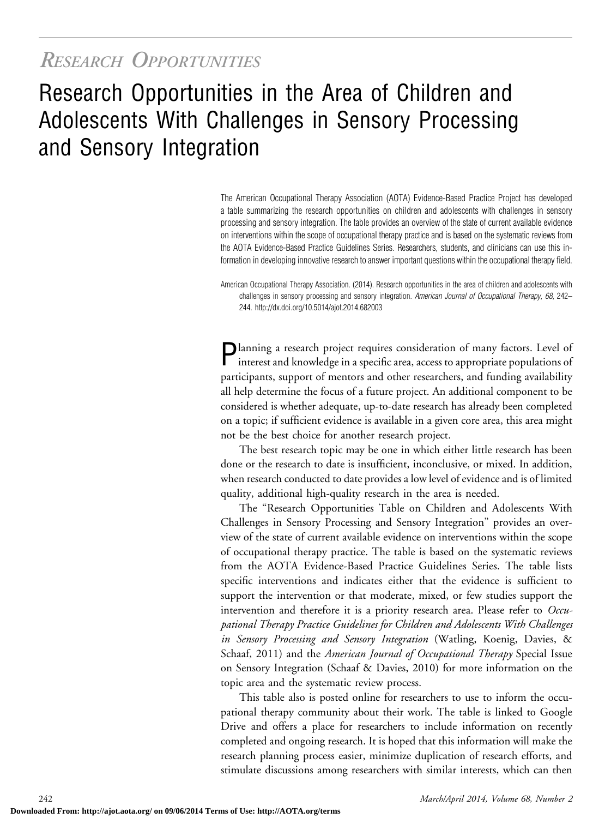## RESEARCH OPPORTUNITIES

# Research Opportunities in the Area of Children and Adolescents With Challenges in Sensory Processing and Sensory Integration

The American Occupational Therapy Association (AOTA) Evidence-Based Practice Project has developed a table summarizing the research opportunities on children and adolescents with challenges in sensory processing and sensory integration. The table provides an overview of the state of current available evidence on interventions within the scope of occupational therapy practice and is based on the systematic reviews from the AOTA Evidence-Based Practice Guidelines Series. Researchers, students, and clinicians can use this information in developing innovative research to answer important questions within the occupational therapy field.

American Occupational Therapy Association. (2014). Research opportunities in the area of children and adolescents with challenges in sensory processing and sensory integration. American Journal of Occupational Therapy, 68, 242– 244.<http://dx.doi.org/10.5014/ajot.2014.682003>

Planning a research project requires consideration of many factors. Level of interest and knowledge in a specific area, access to appropriate populations of participants, support of mentors and other researchers, and funding availability all help determine the focus of a future project. An additional component to be considered is whether adequate, up-to-date research has already been completed on a topic; if sufficient evidence is available in a given core area, this area might not be the best choice for another research project.

The best research topic may be one in which either little research has been done or the research to date is insufficient, inconclusive, or mixed. In addition, when research conducted to date provides a low level of evidence and is of limited quality, additional high-quality research in the area is needed.

The "Research Opportunities Table on Children and Adolescents With Challenges in Sensory Processing and Sensory Integration" provides an overview of the state of current available evidence on interventions within the scope of occupational therapy practice. The table is based on the systematic reviews from the AOTA Evidence-Based Practice Guidelines Series. The table lists specific interventions and indicates either that the evidence is sufficient to support the intervention or that moderate, mixed, or few studies support the intervention and therefore it is a priority research area. Please refer to Occupational Therapy Practice Guidelines for Children and Adolescents With Challenges in Sensory Processing and Sensory Integration (Watling, Koenig, Davies, & Schaaf, 2011) and the *American Journal of Occupational Therapy* Special Issue on Sensory Integration (Schaaf & Davies, 2010) for more information on the topic area and the systematic review process.

This table also is posted online for researchers to use to inform the occupational therapy community about their work. The table is linked to Google Drive and offers a place for researchers to include information on recently completed and ongoing research. It is hoped that this information will make the research planning process easier, minimize duplication of research efforts, and stimulate discussions among researchers with similar interests, which can then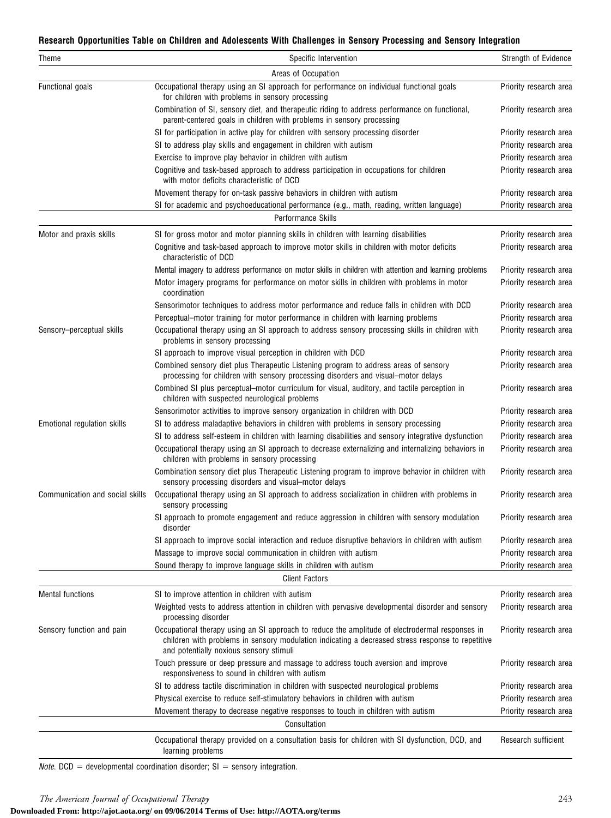#### Research Opportunities Table on Children and Adolescents With Challenges in Sensory Processing and Sensory Integration

| Theme                           | Specific Intervention                                                                                                                                                                                                                           | Strength of Evidence   |
|---------------------------------|-------------------------------------------------------------------------------------------------------------------------------------------------------------------------------------------------------------------------------------------------|------------------------|
|                                 | Areas of Occupation                                                                                                                                                                                                                             |                        |
| Functional goals                | Occupational therapy using an SI approach for performance on individual functional goals<br>for children with problems in sensory processing                                                                                                    | Priority research area |
|                                 | Combination of SI, sensory diet, and therapeutic riding to address performance on functional,<br>parent-centered goals in children with problems in sensory processing                                                                          | Priority research area |
|                                 | SI for participation in active play for children with sensory processing disorder                                                                                                                                                               | Priority research area |
|                                 | SI to address play skills and engagement in children with autism                                                                                                                                                                                | Priority research area |
|                                 | Exercise to improve play behavior in children with autism                                                                                                                                                                                       | Priority research area |
|                                 | Cognitive and task-based approach to address participation in occupations for children<br>with motor deficits characteristic of DCD                                                                                                             | Priority research area |
|                                 | Movement therapy for on-task passive behaviors in children with autism                                                                                                                                                                          | Priority research area |
|                                 | SI for academic and psychoeducational performance (e.g., math, reading, written language)                                                                                                                                                       | Priority research area |
|                                 | Performance Skills                                                                                                                                                                                                                              |                        |
| Motor and praxis skills         | SI for gross motor and motor planning skills in children with learning disabilities                                                                                                                                                             | Priority research area |
|                                 | Cognitive and task-based approach to improve motor skills in children with motor deficits<br>characteristic of DCD                                                                                                                              | Priority research area |
|                                 | Mental imagery to address performance on motor skills in children with attention and learning problems                                                                                                                                          | Priority research area |
|                                 | Motor imagery programs for performance on motor skills in children with problems in motor<br>coordination                                                                                                                                       | Priority research area |
|                                 | Sensorimotor techniques to address motor performance and reduce falls in children with DCD                                                                                                                                                      | Priority research area |
|                                 | Perceptual–motor training for motor performance in children with learning problems                                                                                                                                                              | Priority research area |
| Sensory-perceptual skills       | Occupational therapy using an SI approach to address sensory processing skills in children with<br>problems in sensory processing                                                                                                               | Priority research area |
|                                 | SI approach to improve visual perception in children with DCD                                                                                                                                                                                   | Priority research area |
|                                 | Combined sensory diet plus Therapeutic Listening program to address areas of sensory<br>processing for children with sensory processing disorders and visual-motor delays                                                                       | Priority research area |
|                                 | Combined SI plus perceptual-motor curriculum for visual, auditory, and tactile perception in<br>children with suspected neurological problems                                                                                                   | Priority research area |
|                                 | Sensorimotor activities to improve sensory organization in children with DCD                                                                                                                                                                    | Priority research area |
| Emotional regulation skills     | SI to address maladaptive behaviors in children with problems in sensory processing                                                                                                                                                             | Priority research area |
|                                 | SI to address self-esteem in children with learning disabilities and sensory integrative dysfunction                                                                                                                                            | Priority research area |
|                                 | Occupational therapy using an SI approach to decrease externalizing and internalizing behaviors in<br>children with problems in sensory processing                                                                                              | Priority research area |
|                                 | Combination sensory diet plus Therapeutic Listening program to improve behavior in children with<br>sensory processing disorders and visual-motor delays                                                                                        | Priority research area |
| Communication and social skills | Occupational therapy using an SI approach to address socialization in children with problems in<br>sensory processing                                                                                                                           | Priority research area |
|                                 | SI approach to promote engagement and reduce aggression in children with sensory modulation<br>disorder                                                                                                                                         | Priority research area |
|                                 | SI approach to improve social interaction and reduce disruptive behaviors in children with autism                                                                                                                                               | Priority research area |
|                                 | Massage to improve social communication in children with autism                                                                                                                                                                                 | Priority research area |
|                                 | Sound therapy to improve language skills in children with autism                                                                                                                                                                                | Priority research area |
|                                 | <b>Client Factors</b>                                                                                                                                                                                                                           |                        |
| <b>Mental functions</b>         | SI to improve attention in children with autism                                                                                                                                                                                                 | Priority research area |
|                                 | Weighted vests to address attention in children with pervasive developmental disorder and sensory<br>processing disorder                                                                                                                        | Priority research area |
| Sensory function and pain       | Occupational therapy using an SI approach to reduce the amplitude of electrodermal responses in<br>children with problems in sensory modulation indicating a decreased stress response to repetitive<br>and potentially noxious sensory stimuli | Priority research area |
|                                 | Touch pressure or deep pressure and massage to address touch aversion and improve<br>responsiveness to sound in children with autism                                                                                                            | Priority research area |
|                                 | SI to address tactile discrimination in children with suspected neurological problems                                                                                                                                                           | Priority research area |
|                                 | Physical exercise to reduce self-stimulatory behaviors in children with autism                                                                                                                                                                  | Priority research area |
|                                 | Movement therapy to decrease negative responses to touch in children with autism                                                                                                                                                                | Priority research area |
|                                 | Consultation                                                                                                                                                                                                                                    |                        |
|                                 | Occupational therapy provided on a consultation basis for children with SI dysfunction, DCD, and<br>learning problems                                                                                                                           | Research sufficient    |

*Note.* DCD = developmental coordination disorder; SI = sensory integration.